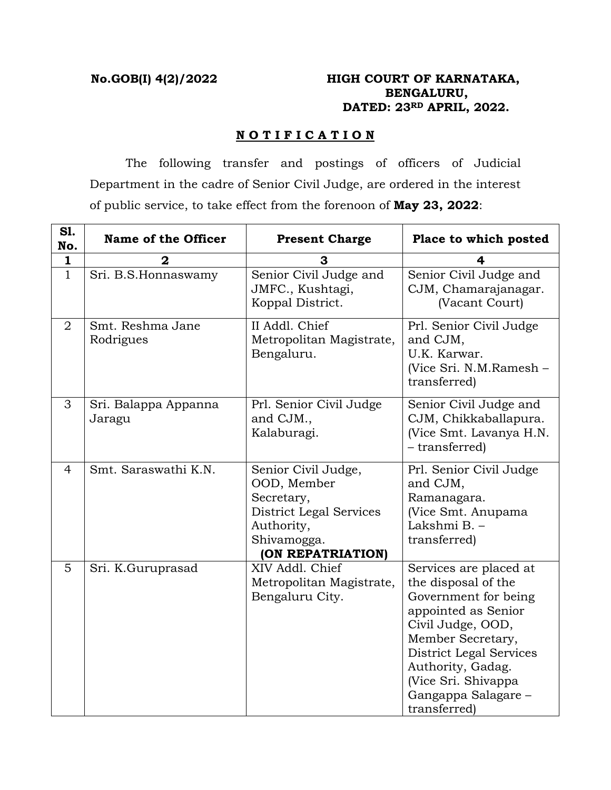# **No.GOB(I) 4(2)/2022 HIGH COURT OF KARNATAKA, BENGALURU, DATED: 23RD APRIL, 2022.**

## **N O T I F I C A T I O N**

 The following transfer and postings of officers of Judicial Department in the cadre of Senior Civil Judge, are ordered in the interest of public service, to take effect from the forenoon of **May 23, 2022**:

| S1.<br>No.     | <b>Name of the Officer</b>     | <b>Present Charge</b>                                                                                                         | Place to which posted                                                                                                                                                                                                                                |
|----------------|--------------------------------|-------------------------------------------------------------------------------------------------------------------------------|------------------------------------------------------------------------------------------------------------------------------------------------------------------------------------------------------------------------------------------------------|
| 1              | 2                              | З                                                                                                                             |                                                                                                                                                                                                                                                      |
| $\mathbf{1}$   | Sri. B.S.Honnaswamy            | Senior Civil Judge and<br>JMFC., Kushtagi,<br>Koppal District.                                                                | Senior Civil Judge and<br>CJM, Chamarajanagar.<br>(Vacant Court)                                                                                                                                                                                     |
| $\overline{2}$ | Smt. Reshma Jane<br>Rodrigues  | II Addl. Chief<br>Metropolitan Magistrate,<br>Bengaluru.                                                                      | Prl. Senior Civil Judge<br>and CJM,<br>U.K. Karwar.<br>(Vice Sri. N.M.Ramesh -<br>transferred)                                                                                                                                                       |
| 3              | Sri. Balappa Appanna<br>Jaragu | Prl. Senior Civil Judge<br>and CJM.,<br>Kalaburagi.                                                                           | Senior Civil Judge and<br>CJM, Chikkaballapura.<br>(Vice Smt. Lavanya H.N.<br>- transferred)                                                                                                                                                         |
| $\overline{4}$ | Smt. Saraswathi K.N.           | Senior Civil Judge,<br>OOD, Member<br>Secretary,<br>District Legal Services<br>Authority,<br>Shivamogga.<br>(ON REPATRIATION) | Prl. Senior Civil Judge<br>and CJM,<br>Ramanagara.<br>(Vice Smt. Anupama<br>Lakshmi B. -<br>transferred)                                                                                                                                             |
| 5              | Sri. K.Guruprasad              | XIV Addl. Chief<br>Metropolitan Magistrate,<br>Bengaluru City.                                                                | Services are placed at<br>the disposal of the<br>Government for being<br>appointed as Senior<br>Civil Judge, OOD,<br>Member Secretary,<br>District Legal Services<br>Authority, Gadag.<br>(Vice Sri. Shivappa<br>Gangappa Salagare -<br>transferred) |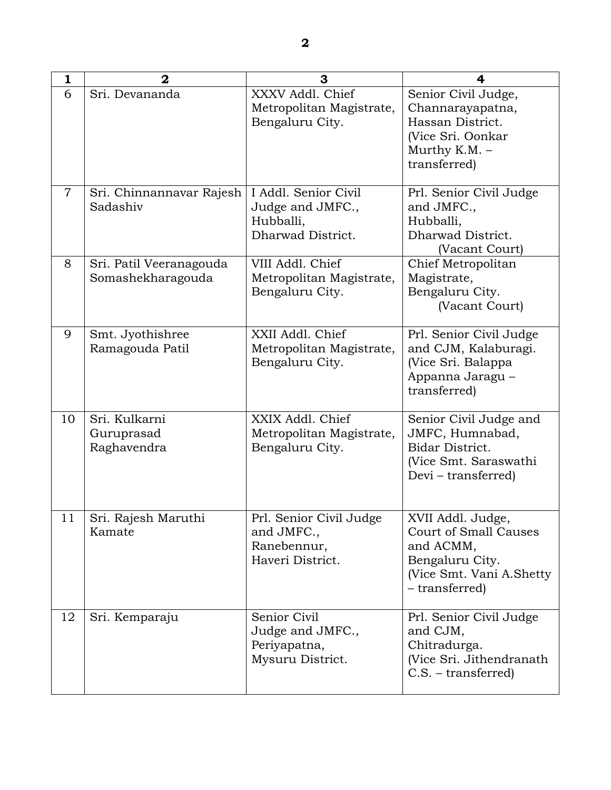| $\mathbf{1}$   | $\mathbf{2}$                                 | 3                                                                          | 4                                                                                                                                 |
|----------------|----------------------------------------------|----------------------------------------------------------------------------|-----------------------------------------------------------------------------------------------------------------------------------|
| 6              | Sri. Devananda                               | XXXV Addl. Chief<br>Metropolitan Magistrate,<br>Bengaluru City.            | Senior Civil Judge,<br>Channarayapatna,<br>Hassan District.<br>(Vice Sri. Oonkar<br>Murthy K.M. -<br>transferred)                 |
| $\overline{7}$ | Sri. Chinnannavar Rajesh<br>Sadashiv         | I Addl. Senior Civil<br>Judge and JMFC.,<br>Hubballi,<br>Dharwad District. | Prl. Senior Civil Judge<br>and JMFC.,<br>Hubballi,<br>Dharwad District.<br>(Vacant Court)                                         |
| 8              | Sri. Patil Veeranagouda<br>Somashekharagouda | VIII Addl. Chief<br>Metropolitan Magistrate,<br>Bengaluru City.            | Chief Metropolitan<br>Magistrate,<br>Bengaluru City.<br>(Vacant Court)                                                            |
| 9              | Smt. Jyothishree<br>Ramagouda Patil          | XXII Addl. Chief<br>Metropolitan Magistrate,<br>Bengaluru City.            | Prl. Senior Civil Judge<br>and CJM, Kalaburagi.<br>(Vice Sri. Balappa<br>Appanna Jaragu -<br>transferred)                         |
| 10             | Sri. Kulkarni<br>Guruprasad<br>Raghavendra   | XXIX Addl. Chief<br>Metropolitan Magistrate,<br>Bengaluru City.            | Senior Civil Judge and<br>JMFC, Humnabad,<br>Bidar District.<br>(Vice Smt. Saraswathi<br>Devi – transferred)                      |
| 11             | Sri. Rajesh Maruthi<br>Kamate                | Prl. Senior Civil Judge<br>and JMFC.,<br>Ranebennur,<br>Haveri District.   | XVII Addl. Judge,<br><b>Court of Small Causes</b><br>and ACMM,<br>Bengaluru City.<br>(Vice Smt. Vani A. Shetty)<br>- transferred) |
| 12             | Sri. Kemparaju                               | Senior Civil<br>Judge and JMFC.,<br>Periyapatna,<br>Mysuru District.       | Prl. Senior Civil Judge<br>and CJM,<br>Chitradurga.<br>(Vice Sri. Jithendranath<br>$C.S.$ – transferred)                          |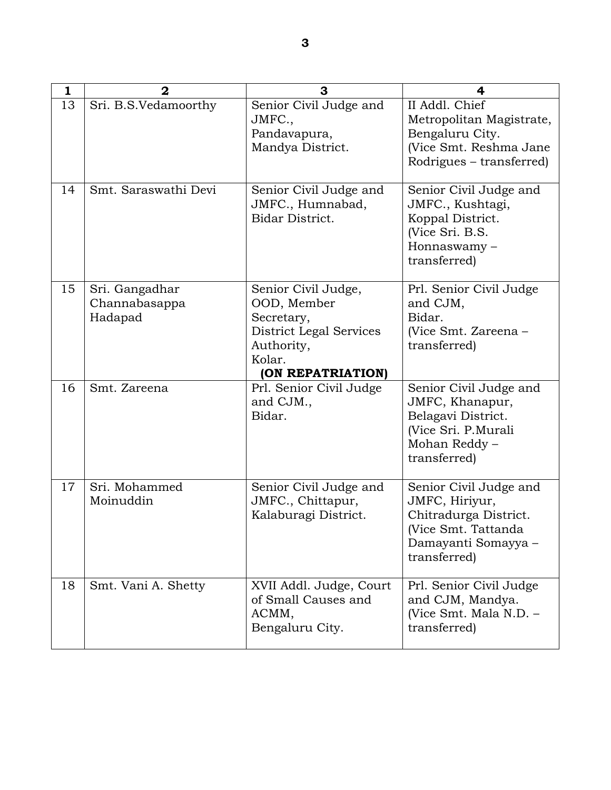| 1  | $\mathbf 2$                                | 3                                                                                                                        | 4                                                                                                                               |
|----|--------------------------------------------|--------------------------------------------------------------------------------------------------------------------------|---------------------------------------------------------------------------------------------------------------------------------|
| 13 | Sri. B.S.Vedamoorthy                       | Senior Civil Judge and<br>JMFC.,<br>Pandavapura,<br>Mandya District.                                                     | II Addl. Chief<br>Metropolitan Magistrate,<br>Bengaluru City.<br>(Vice Smt. Reshma Jane<br>Rodrigues – transferred)             |
| 14 | Smt. Saraswathi Devi                       | Senior Civil Judge and<br>JMFC., Humnabad,<br>Bidar District.                                                            | Senior Civil Judge and<br>JMFC., Kushtagi,<br>Koppal District.<br>(Vice Sri. B.S.<br>Honnaswamy-<br>transferred)                |
| 15 | Sri. Gangadhar<br>Channabasappa<br>Hadapad | Senior Civil Judge,<br>OOD, Member<br>Secretary,<br>District Legal Services<br>Authority,<br>Kolar.<br>(ON REPATRIATION) | Prl. Senior Civil Judge<br>and CJM,<br>Bidar.<br>(Vice Smt. Zareena -<br>transferred)                                           |
| 16 | Smt. Zareena                               | Prl. Senior Civil Judge<br>and CJM.,<br>Bidar.                                                                           | Senior Civil Judge and<br>JMFC, Khanapur,<br>Belagavi District.<br>(Vice Sri. P.Murali<br>Mohan Reddy -<br>transferred)         |
| 17 | Sri. Mohammed<br>Moinuddin                 | Senior Civil Judge and<br>JMFC., Chittapur,<br>Kalaburagi District.                                                      | Senior Civil Judge and<br>JMFC, Hiriyur,<br>Chitradurga District.<br>(Vice Smt. Tattanda<br>Damayanti Somayya -<br>transferred) |
| 18 | Smt. Vani A. Shetty                        | XVII Addl. Judge, Court<br>of Small Causes and<br>ACMM,<br>Bengaluru City.                                               | Prl. Senior Civil Judge<br>and CJM, Mandya.<br>(Vice Smt. Mala N.D. -<br>transferred)                                           |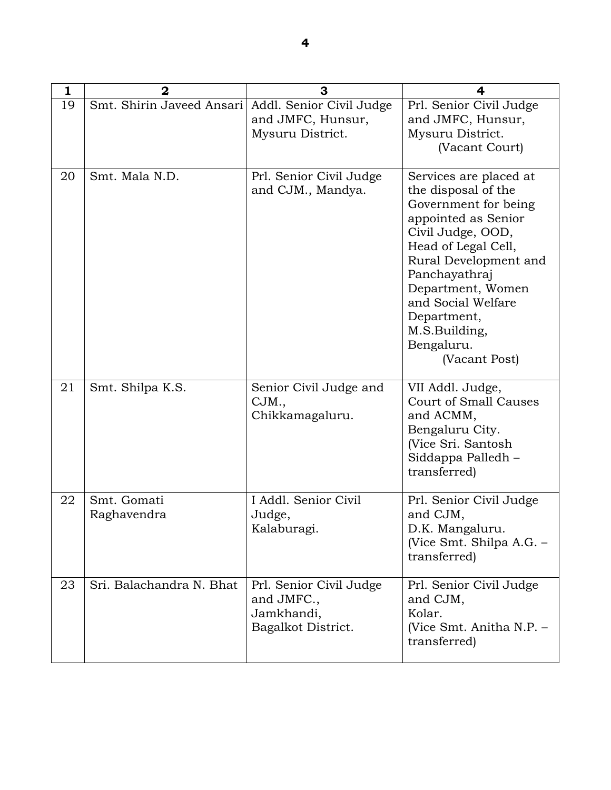| 1  | $\mathbf 2$                | 3                                                                         | 4                                                                                                                                                                                                                                                                                            |
|----|----------------------------|---------------------------------------------------------------------------|----------------------------------------------------------------------------------------------------------------------------------------------------------------------------------------------------------------------------------------------------------------------------------------------|
| 19 | Smt. Shirin Javeed Ansari  | Addl. Senior Civil Judge<br>and JMFC, Hunsur,<br>Mysuru District.         | Prl. Senior Civil Judge<br>and JMFC, Hunsur,<br>Mysuru District.<br>(Vacant Court)                                                                                                                                                                                                           |
| 20 | Smt. Mala N.D.             | Prl. Senior Civil Judge<br>and CJM., Mandya.                              | Services are placed at<br>the disposal of the<br>Government for being<br>appointed as Senior<br>Civil Judge, OOD,<br>Head of Legal Cell,<br>Rural Development and<br>Panchayathraj<br>Department, Women<br>and Social Welfare<br>Department,<br>M.S.Building,<br>Bengaluru.<br>(Vacant Post) |
| 21 | Smt. Shilpa K.S.           | Senior Civil Judge and<br>CJM.,<br>Chikkamagaluru.                        | VII Addl. Judge,<br><b>Court of Small Causes</b><br>and ACMM,<br>Bengaluru City.<br>(Vice Sri. Santosh<br>Siddappa Palledh –<br>transferred)                                                                                                                                                 |
| 22 | Smt. Gomati<br>Raghavendra | I Addl. Senior Civil<br>Judge,<br>Kalaburagi.                             | Prl. Senior Civil Judge<br>and CJM,<br>D.K. Mangaluru.<br>(Vice Smt. Shilpa A.G. –<br>transferred)                                                                                                                                                                                           |
| 23 | Sri. Balachandra N. Bhat   | Prl. Senior Civil Judge<br>and JMFC.,<br>Jamkhandi,<br>Bagalkot District. | Prl. Senior Civil Judge<br>and CJM,<br>Kolar.<br>(Vice Smt. Anitha N.P. -<br>transferred)                                                                                                                                                                                                    |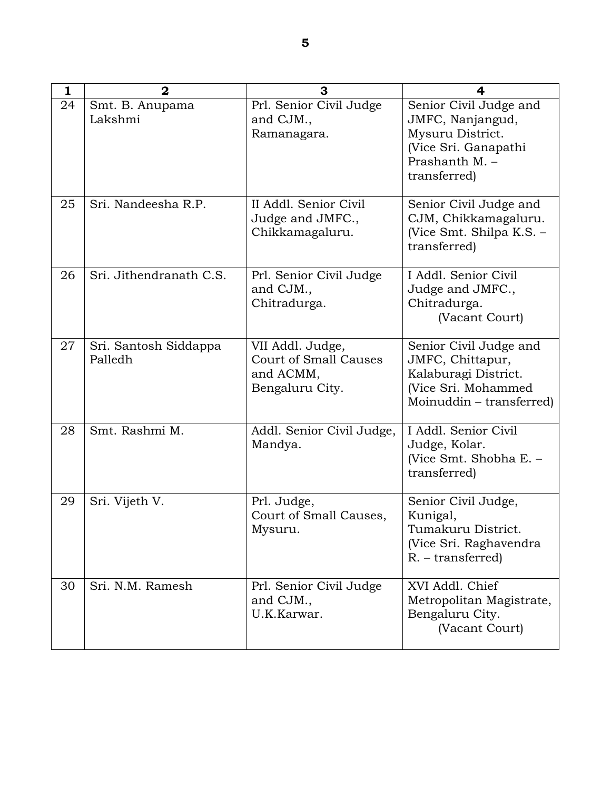| 1  | $\overline{2}$                   | 3                                                                                | 4                                                                                                                        |
|----|----------------------------------|----------------------------------------------------------------------------------|--------------------------------------------------------------------------------------------------------------------------|
| 24 | Smt. B. Anupama<br>Lakshmi       | Prl. Senior Civil Judge<br>and CJM.,<br>Ramanagara.                              | Senior Civil Judge and<br>JMFC, Nanjangud,<br>Mysuru District.<br>(Vice Sri. Ganapathi<br>Prashanth M. -<br>transferred) |
| 25 | Sri. Nandeesha R.P.              | II Addl. Senior Civil<br>Judge and JMFC.,<br>Chikkamagaluru.                     | Senior Civil Judge and<br>CJM, Chikkamagaluru.<br>(Vice Smt. Shilpa K.S. -<br>transferred)                               |
| 26 | Sri. Jithendranath C.S.          | Prl. Senior Civil Judge<br>and CJM.,<br>Chitradurga.                             | I Addl. Senior Civil<br>Judge and JMFC.,<br>Chitradurga.<br>(Vacant Court)                                               |
| 27 | Sri. Santosh Siddappa<br>Palledh | VII Addl. Judge,<br><b>Court of Small Causes</b><br>and ACMM,<br>Bengaluru City. | Senior Civil Judge and<br>JMFC, Chittapur,<br>Kalaburagi District.<br>(Vice Sri. Mohammed<br>Moinuddin - transferred)    |
| 28 | Smt. Rashmi M.                   | Addl. Senior Civil Judge,<br>Mandya.                                             | I Addl. Senior Civil<br>Judge, Kolar.<br>(Vice Smt. Shobha E. -<br>transferred)                                          |
| 29 | Sri. Vijeth V.                   | Prl. Judge,<br>Court of Small Causes,<br>Mysuru.                                 | Senior Civil Judge,<br>Kunigal,<br>Tumakuru District.<br>(Vice Sri. Raghavendra<br>$R. - transferred$                    |
| 30 | Sri. N.M. Ramesh                 | Prl. Senior Civil Judge<br>and CJM.,<br>U.K.Karwar.                              | XVI Addl. Chief<br>Metropolitan Magistrate,<br>Bengaluru City.<br>(Vacant Court)                                         |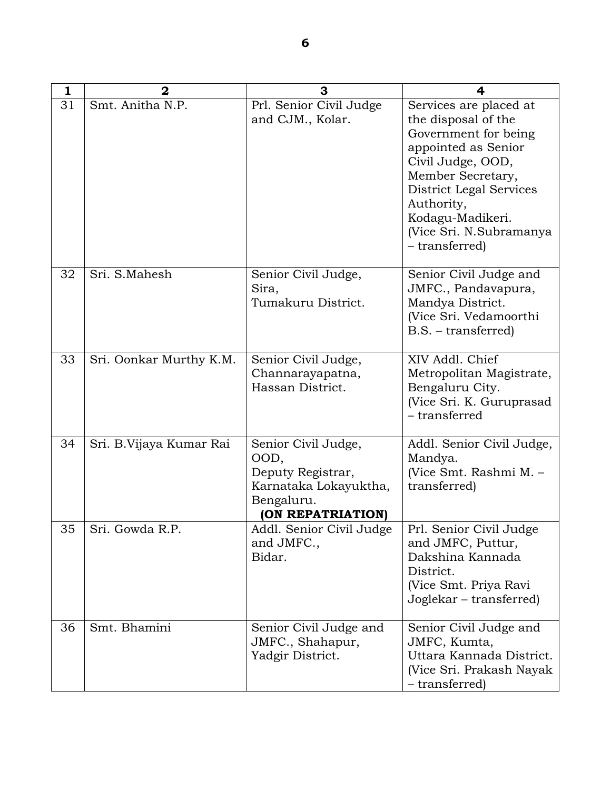| $\mathbf{1}$ | $\mathbf 2$             | 3                                                                                                            | 4                                                                                                                                                                                                                                                       |
|--------------|-------------------------|--------------------------------------------------------------------------------------------------------------|---------------------------------------------------------------------------------------------------------------------------------------------------------------------------------------------------------------------------------------------------------|
| 31           | Smt. Anitha N.P.        | Prl. Senior Civil Judge<br>and CJM., Kolar.                                                                  | Services are placed at<br>the disposal of the<br>Government for being<br>appointed as Senior<br>Civil Judge, OOD,<br>Member Secretary,<br><b>District Legal Services</b><br>Authority,<br>Kodagu-Madikeri.<br>(Vice Sri. N.Subramanya<br>- transferred) |
| 32           | Sri. S.Mahesh           | Senior Civil Judge,<br>Sira,<br>Tumakuru District.                                                           | Senior Civil Judge and<br>JMFC., Pandavapura,<br>Mandya District.<br>(Vice Sri. Vedamoorthi<br>$B.S.$ – transferred)                                                                                                                                    |
| 33           | Sri. Oonkar Murthy K.M. | Senior Civil Judge,<br>Channarayapatna,<br>Hassan District.                                                  | XIV Addl. Chief<br>Metropolitan Magistrate,<br>Bengaluru City.<br>(Vice Sri. K. Guruprasad<br>- transferred                                                                                                                                             |
| 34           | Sri. B.Vijaya Kumar Rai | Senior Civil Judge,<br>OOD,<br>Deputy Registrar,<br>Karnataka Lokayuktha,<br>Bengaluru.<br>(ON REPATRIATION) | Addl. Senior Civil Judge,<br>Mandya.<br>(Vice Smt. Rashmi M. -<br>transferred)                                                                                                                                                                          |
| 35           | Sri. Gowda R.P.         | Addl. Senior Civil Judge<br>and JMFC.,<br>Bidar.                                                             | Prl. Senior Civil Judge<br>and JMFC, Puttur,<br>Dakshina Kannada<br>District.<br>(Vice Smt. Priya Ravi<br>Joglekar – transferred)                                                                                                                       |
| 36           | Smt. Bhamini            | Senior Civil Judge and<br>JMFC., Shahapur,<br>Yadgir District.                                               | Senior Civil Judge and<br>JMFC, Kumta,<br>Uttara Kannada District.<br>(Vice Sri. Prakash Nayak<br>- transferred)                                                                                                                                        |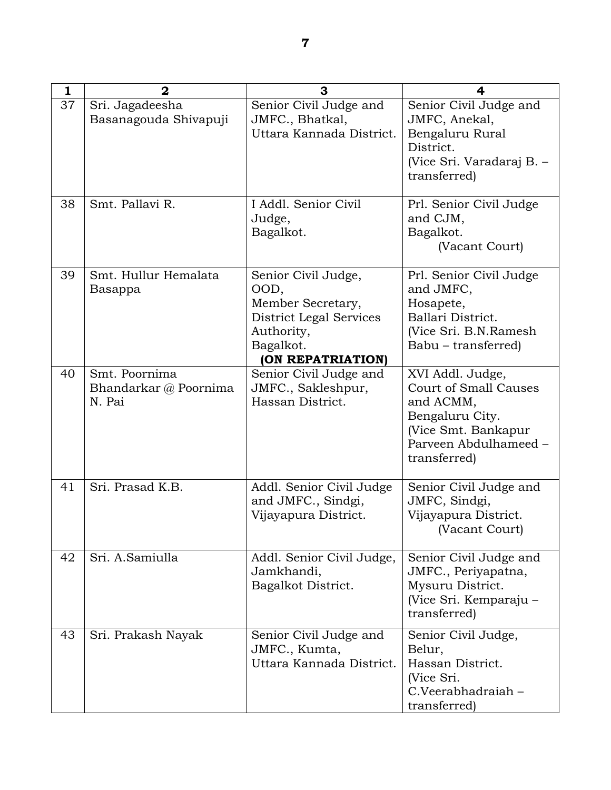| 1  | $\mathbf 2$                                      | 3                                                                                                                                  | 4                                                                                                                                                |
|----|--------------------------------------------------|------------------------------------------------------------------------------------------------------------------------------------|--------------------------------------------------------------------------------------------------------------------------------------------------|
| 37 | Sri. Jagadeesha<br>Basanagouda Shivapuji         | Senior Civil Judge and<br>JMFC., Bhatkal,<br>Uttara Kannada District.                                                              | Senior Civil Judge and<br>JMFC, Anekal,<br>Bengaluru Rural<br>District.<br>(Vice Sri. Varadaraj B. -<br>transferred)                             |
| 38 | Smt. Pallavi R.                                  | I Addl. Senior Civil<br>Judge,<br>Bagalkot.                                                                                        | Prl. Senior Civil Judge<br>and CJM,<br>Bagalkot.<br>(Vacant Court)                                                                               |
| 39 | Smt. Hullur Hemalata<br>Basappa                  | Senior Civil Judge,<br>OOD,<br>Member Secretary,<br><b>District Legal Services</b><br>Authority,<br>Bagalkot.<br>(ON REPATRIATION) | Prl. Senior Civil Judge<br>and JMFC,<br>Hosapete,<br>Ballari District.<br>(Vice Sri. B.N.Ramesh<br>Babu - transferred)                           |
| 40 | Smt. Poornima<br>Bhandarkar @ Poornima<br>N. Pai | Senior Civil Judge and<br>JMFC., Sakleshpur,<br>Hassan District.                                                                   | XVI Addl. Judge,<br><b>Court of Small Causes</b><br>and ACMM,<br>Bengaluru City.<br>(Vice Smt. Bankapur<br>Parveen Abdulhameed -<br>transferred) |
| 41 | Sri. Prasad K.B.                                 | Addl. Senior Civil Judge<br>and JMFC., Sindgi,<br>Vijayapura District.                                                             | Senior Civil Judge and<br>JMFC, Sindgi,<br>Vijayapura District.<br>(Vacant Court)                                                                |
| 42 | Sri. A.Samiulla                                  | Addl. Senior Civil Judge,<br>Jamkhandi,<br>Bagalkot District.                                                                      | Senior Civil Judge and<br>JMFC., Periyapatna,<br>Mysuru District.<br>(Vice Sri. Kemparaju –<br>transferred)                                      |
| 43 | Sri. Prakash Nayak                               | Senior Civil Judge and<br>JMFC., Kumta,<br>Uttara Kannada District.                                                                | Senior Civil Judge,<br>Belur,<br>Hassan District.<br>(Vice Sri.<br>C.Veerabhadraiah-<br>transferred)                                             |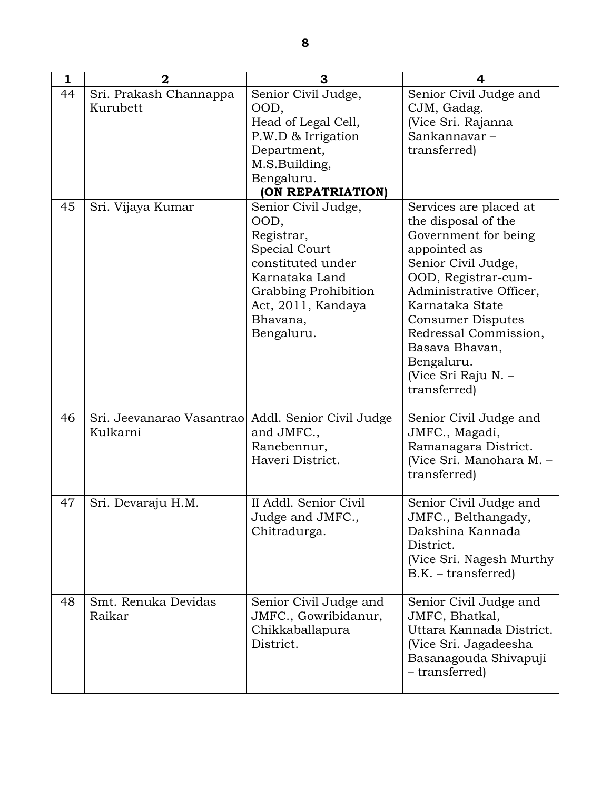| 1  | $\mathbf{2}$                                                   | 3                           | 4                                           |
|----|----------------------------------------------------------------|-----------------------------|---------------------------------------------|
| 44 | Sri. Prakash Channappa                                         | Senior Civil Judge,         | Senior Civil Judge and                      |
|    | Kurubett                                                       | OOD,                        | CJM, Gadag.                                 |
|    |                                                                | Head of Legal Cell,         | (Vice Sri. Rajanna                          |
|    |                                                                | P.W.D & Irrigation          | Sankannavar-                                |
|    |                                                                | Department,                 | transferred)                                |
|    |                                                                | M.S.Building,               |                                             |
|    |                                                                | Bengaluru.                  |                                             |
|    |                                                                | (ON REPATRIATION)           |                                             |
| 45 | Sri. Vijaya Kumar                                              | Senior Civil Judge,<br>OOD, | Services are placed at                      |
|    |                                                                | Registrar,                  | the disposal of the<br>Government for being |
|    |                                                                | Special Court               | appointed as                                |
|    |                                                                | constituted under           | Senior Civil Judge,                         |
|    |                                                                | Karnataka Land              | OOD, Registrar-cum-                         |
|    |                                                                | Grabbing Prohibition        | Administrative Officer,                     |
|    |                                                                | Act, 2011, Kandaya          | Karnataka State                             |
|    |                                                                | Bhavana,                    | <b>Consumer Disputes</b>                    |
|    |                                                                | Bengaluru.                  | Redressal Commission,                       |
|    |                                                                |                             | Basava Bhavan,                              |
|    |                                                                |                             | Bengaluru.                                  |
|    |                                                                |                             | (Vice Sri Raju N. –                         |
|    |                                                                |                             | transferred)                                |
|    |                                                                |                             |                                             |
| 46 | Sri. Jeevanarao Vasantrao Addl. Senior Civil Judge<br>Kulkarni | and JMFC.,                  | Senior Civil Judge and                      |
|    |                                                                | Ranebennur,                 | JMFC., Magadi,<br>Ramanagara District.      |
|    |                                                                | Haveri District.            | (Vice Sri. Manohara M.-                     |
|    |                                                                |                             | transferred)                                |
|    |                                                                |                             |                                             |
| 47 | Sri. Devaraju H.M.                                             | II Addl. Senior Civil       | Senior Civil Judge and                      |
|    |                                                                | Judge and JMFC.,            | JMFC., Belthangady,                         |
|    |                                                                | Chitradurga.                | Dakshina Kannada                            |
|    |                                                                |                             | District.                                   |
|    |                                                                |                             | (Vice Sri. Nagesh Murthy                    |
|    |                                                                |                             | $B.K. - transferred)$                       |
|    |                                                                |                             |                                             |
| 48 | Smt. Renuka Devidas                                            | Senior Civil Judge and      | Senior Civil Judge and                      |
|    | Raikar                                                         | JMFC., Gowribidanur,        | JMFC, Bhatkal,                              |
|    |                                                                | Chikkaballapura             | Uttara Kannada District.                    |
|    |                                                                | District.                   | (Vice Sri. Jagadeesha                       |
|    |                                                                |                             | Basanagouda Shivapuji                       |
|    |                                                                |                             | - transferred)                              |
|    |                                                                |                             |                                             |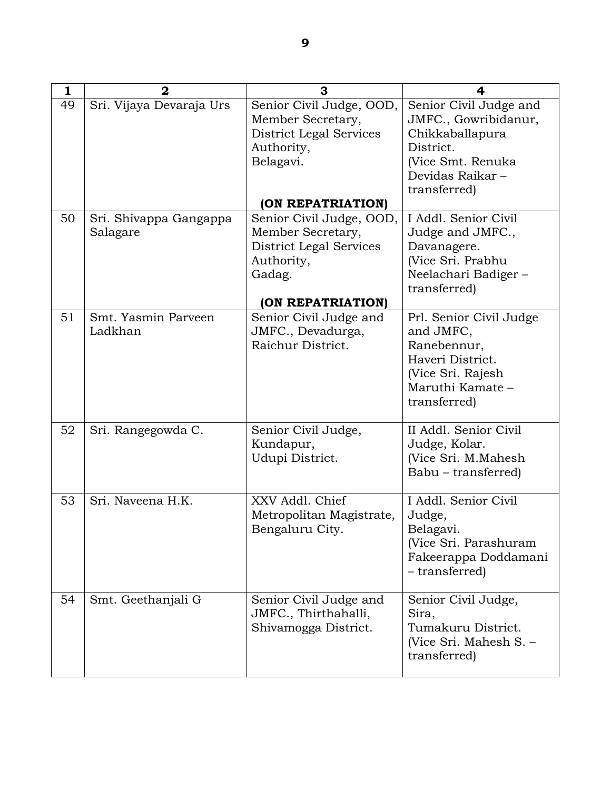| $\mathbf{1}$ | $\mathbf{2}$                       | 3                                                                                                          | 4                                                                                                                                      |
|--------------|------------------------------------|------------------------------------------------------------------------------------------------------------|----------------------------------------------------------------------------------------------------------------------------------------|
| 49           | Sri. Vijaya Devaraja Urs           | Senior Civil Judge, OOD,<br>Member Secretary,<br><b>District Legal Services</b><br>Authority,<br>Belagavi. | Senior Civil Judge and<br>JMFC., Gowribidanur,<br>Chikkaballapura<br>District.<br>(Vice Smt. Renuka<br>Devidas Raikar-<br>transferred) |
|              |                                    | (ON REPATRIATION)                                                                                          |                                                                                                                                        |
| 50           | Sri. Shivappa Gangappa<br>Salagare | Senior Civil Judge, OOD,<br>Member Secretary,<br>District Legal Services<br>Authority,<br>Gadag.           | I Addl. Senior Civil<br>Judge and JMFC.,<br>Davanagere.<br>(Vice Sri. Prabhu<br>Neelachari Badiger-<br>transferred)                    |
|              |                                    | (ON REPATRIATION)                                                                                          |                                                                                                                                        |
| 51           | Smt. Yasmin Parveen<br>Ladkhan     | Senior Civil Judge and<br>JMFC., Devadurga,<br>Raichur District.                                           | Prl. Senior Civil Judge<br>and JMFC,<br>Ranebennur,<br>Haveri District.<br>(Vice Sri. Rajesh<br>Maruthi Kamate -<br>transferred)       |
| 52           | Sri. Rangegowda C.                 | Senior Civil Judge,<br>Kundapur,<br>Udupi District.                                                        | II Addl. Senior Civil<br>Judge, Kolar.<br>(Vice Sri. M.Mahesh<br>Babu – transferred)                                                   |
| 53           | Sri. Naveena H.K.                  | XXV Addl. Chief<br>Metropolitan Magistrate,<br>Bengaluru City.                                             | I Addl. Senior Civil<br>Judge,<br>Belagavi.<br>(Vice Sri. Parashuram<br>Fakeerappa Doddamani<br>- transferred)                         |
| 54           | Smt. Geethanjali G                 | Senior Civil Judge and<br>JMFC., Thirthahalli,<br>Shivamogga District.                                     | Senior Civil Judge,<br>Sira.<br>Tumakuru District.<br>(Vice Sri. Mahesh S. –<br>transferred)                                           |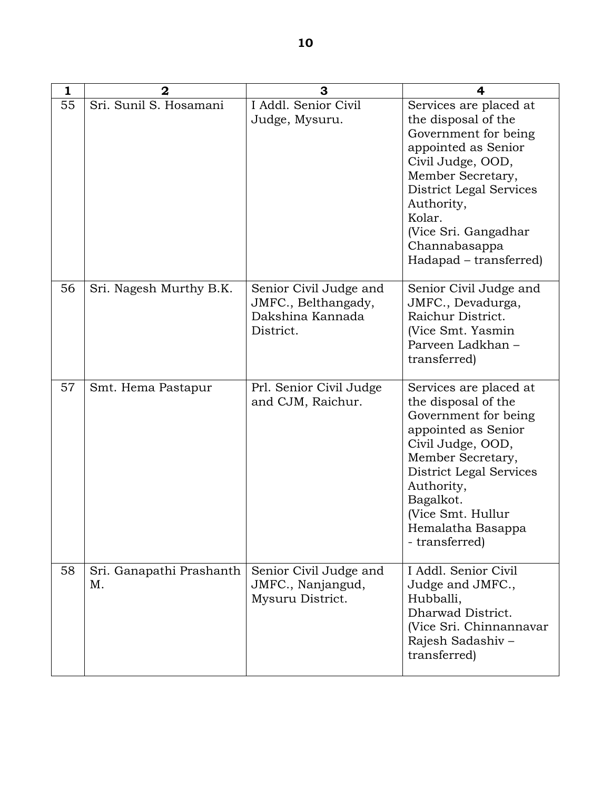| $\mathbf{1}$ | $\overline{2}$                 | 3                                                                              | 4                                                                                                                                                                                                                                                            |
|--------------|--------------------------------|--------------------------------------------------------------------------------|--------------------------------------------------------------------------------------------------------------------------------------------------------------------------------------------------------------------------------------------------------------|
| 55           | Sri. Sunil S. Hosamani         | I Addl. Senior Civil<br>Judge, Mysuru.                                         | Services are placed at<br>the disposal of the<br>Government for being<br>appointed as Senior<br>Civil Judge, OOD,<br>Member Secretary,<br>District Legal Services<br>Authority,<br>Kolar.<br>(Vice Sri. Gangadhar<br>Channabasappa<br>Hadapad – transferred) |
| 56           | Sri. Nagesh Murthy B.K.        | Senior Civil Judge and<br>JMFC., Belthangady,<br>Dakshina Kannada<br>District. | Senior Civil Judge and<br>JMFC., Devadurga,<br>Raichur District.<br>(Vice Smt. Yasmin<br>Parveen Ladkhan -<br>transferred)                                                                                                                                   |
| 57           | Smt. Hema Pastapur             | Prl. Senior Civil Judge<br>and CJM, Raichur.                                   | Services are placed at<br>the disposal of the<br>Government for being<br>appointed as Senior<br>Civil Judge, OOD,<br>Member Secretary,<br>District Legal Services<br>Authority,<br>Bagalkot.<br>(Vice Smt. Hullur<br>Hemalatha Basappa<br>- transferred)     |
| 58           | Sri. Ganapathi Prashanth<br>Μ. | Senior Civil Judge and<br>JMFC., Nanjangud,<br>Mysuru District.                | I Addl. Senior Civil<br>Judge and JMFC.,<br>Hubballi,<br>Dharwad District.<br>(Vice Sri. Chinnannavar<br>Rajesh Sadashiv-<br>transferred)                                                                                                                    |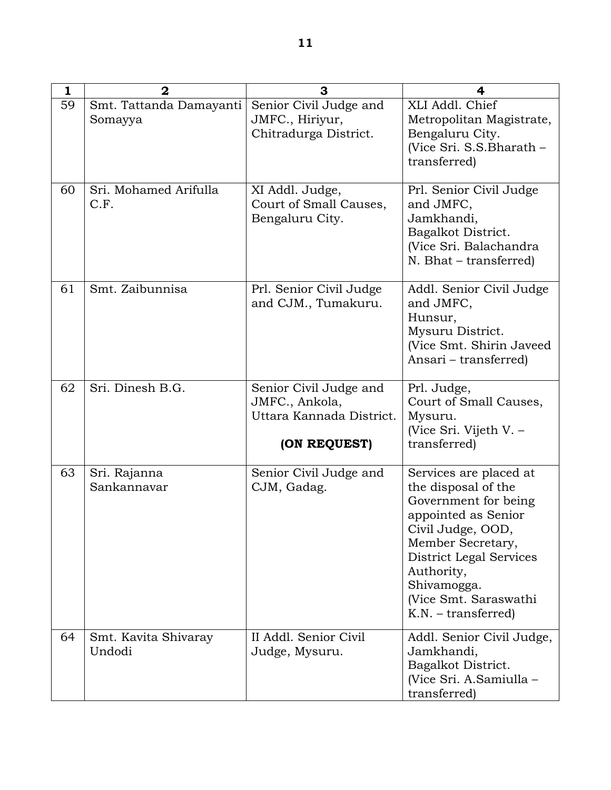| 1  | $\mathbf{2}$                       | 3                                                                                    | 4                                                                                                                                                                                                                                                |
|----|------------------------------------|--------------------------------------------------------------------------------------|--------------------------------------------------------------------------------------------------------------------------------------------------------------------------------------------------------------------------------------------------|
| 59 | Smt. Tattanda Damayanti<br>Somayya | Senior Civil Judge and<br>JMFC., Hiriyur,<br>Chitradurga District.                   | XLI Addl. Chief<br>Metropolitan Magistrate,<br>Bengaluru City.<br>(Vice Sri. S.S.Bharath -<br>transferred)                                                                                                                                       |
| 60 | Sri. Mohamed Arifulla<br>C.F.      | XI Addl. Judge,<br>Court of Small Causes,<br>Bengaluru City.                         | Prl. Senior Civil Judge<br>and JMFC,<br>Jamkhandi,<br>Bagalkot District.<br>(Vice Sri. Balachandra<br>N. Bhat – transferred)                                                                                                                     |
| 61 | Smt. Zaibunnisa                    | Prl. Senior Civil Judge<br>and CJM., Tumakuru.                                       | Addl. Senior Civil Judge<br>and JMFC,<br>Hunsur,<br>Mysuru District.<br>(Vice Smt. Shirin Javeed<br>Ansari – transferred)                                                                                                                        |
| 62 | Sri. Dinesh B.G.                   | Senior Civil Judge and<br>JMFC., Ankola,<br>Uttara Kannada District.<br>(ON REQUEST) | Prl. Judge,<br>Court of Small Causes,<br>Mysuru.<br>(Vice Sri. Vijeth V. -<br>transferred)                                                                                                                                                       |
| 63 | Sri. Rajanna<br>Sankannavar        | Senior Civil Judge and<br>CJM, Gadag.                                                | Services are placed at<br>the disposal of the<br>Government for being<br>appointed as Senior<br>Civil Judge, OOD,<br>Member Secretary,<br>District Legal Services<br>Authority,<br>Shivamogga.<br>(Vice Smt. Saraswathi<br>$K.N. - transferred)$ |
| 64 | Smt. Kavita Shivaray<br>Undodi     | II Addl. Senior Civil<br>Judge, Mysuru.                                              | Addl. Senior Civil Judge,<br>Jamkhandi,<br>Bagalkot District.<br>(Vice Sri. A.Samiulla -<br>transferred)                                                                                                                                         |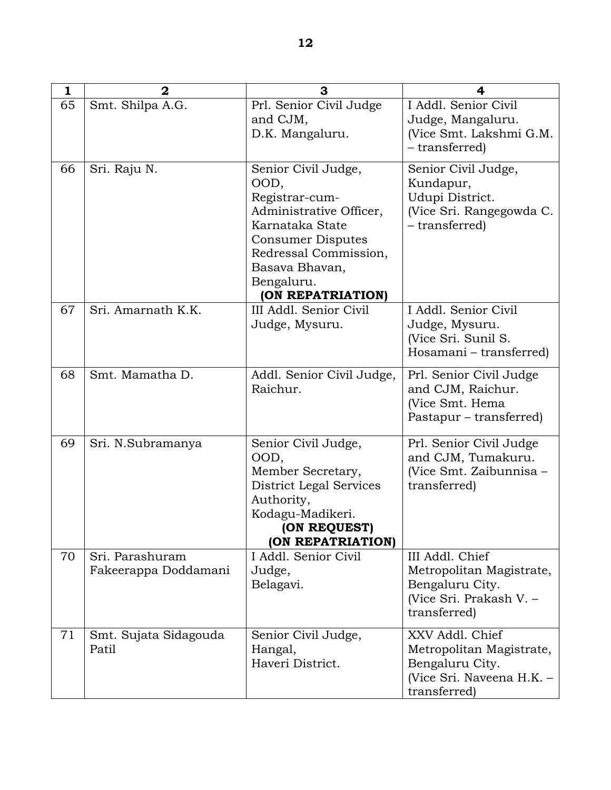| 1  | $\boldsymbol{2}$                        | 3                                                                                                                                                                                                     | 4                                                                                                           |
|----|-----------------------------------------|-------------------------------------------------------------------------------------------------------------------------------------------------------------------------------------------------------|-------------------------------------------------------------------------------------------------------------|
| 65 | Smt. Shilpa A.G.                        | Prl. Senior Civil Judge<br>and CJM,<br>D.K. Mangaluru.                                                                                                                                                | I Addl. Senior Civil<br>Judge, Mangaluru.<br>(Vice Smt. Lakshmi G.M.<br>- transferred)                      |
| 66 | Sri. Raju N.                            | Senior Civil Judge,<br>OOD,<br>Registrar-cum-<br>Administrative Officer,<br>Karnataka State<br><b>Consumer Disputes</b><br>Redressal Commission,<br>Basava Bhavan,<br>Bengaluru.<br>(ON REPATRIATION) | Senior Civil Judge,<br>Kundapur,<br>Udupi District.<br>(Vice Sri. Rangegowda C.<br>- transferred)           |
| 67 | Sri. Amarnath K.K.                      | III Addl. Senior Civil<br>Judge, Mysuru.                                                                                                                                                              | I Addl. Senior Civil<br>Judge, Mysuru.<br>(Vice Sri. Sunil S.<br>Hosamani - transferred)                    |
| 68 | Smt. Mamatha D.                         | Addl. Senior Civil Judge,<br>Raichur.                                                                                                                                                                 | Prl. Senior Civil Judge<br>and CJM, Raichur.<br>(Vice Smt. Hema<br>Pastapur – transferred)                  |
| 69 | Sri. N.Subramanya                       | Senior Civil Judge,<br>OOD,<br>Member Secretary,<br><b>District Legal Services</b><br>Authority,<br>Kodagu-Madikeri.<br>(ON REQUEST)<br>(ON REPATRIATION)                                             | Prl. Senior Civil Judge<br>and CJM, Tumakuru.<br>(Vice Smt. Zaibunnisa -<br>transferred)                    |
| 70 | Sri. Parashuram<br>Fakeerappa Doddamani | I Addl. Senior Civil<br>Judge,<br>Belagavi.                                                                                                                                                           | III Addl. Chief<br>Metropolitan Magistrate,<br>Bengaluru City.<br>(Vice Sri. Prakash V. -<br>transferred)   |
| 71 | Smt. Sujata Sidagouda<br>Patil          | Senior Civil Judge,<br>Hangal,<br>Haveri District.                                                                                                                                                    | XXV Addl. Chief<br>Metropolitan Magistrate,<br>Bengaluru City.<br>(Vice Sri. Naveena H.K. -<br>transferred) |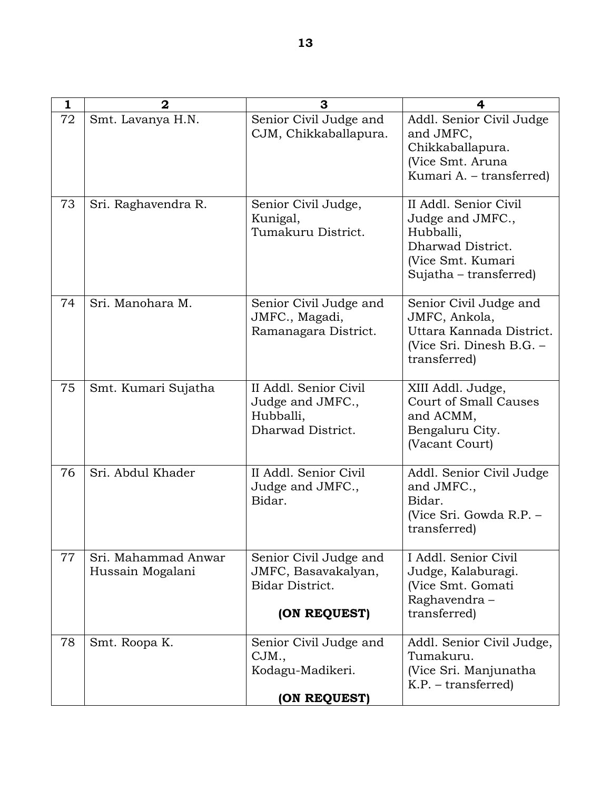| 1  | 2                                       | 3                                                                                | 4                                                                                                                          |
|----|-----------------------------------------|----------------------------------------------------------------------------------|----------------------------------------------------------------------------------------------------------------------------|
| 72 | Smt. Lavanya H.N.                       | Senior Civil Judge and<br>CJM, Chikkaballapura.                                  | Addl. Senior Civil Judge<br>and JMFC,<br>Chikkaballapura.<br>(Vice Smt. Aruna<br>Kumari A. - transferred)                  |
| 73 | Sri. Raghavendra R.                     | Senior Civil Judge,<br>Kunigal,<br>Tumakuru District.                            | II Addl. Senior Civil<br>Judge and JMFC.,<br>Hubballi,<br>Dharwad District.<br>(Vice Smt. Kumari<br>Sujatha – transferred) |
| 74 | Sri. Manohara M.                        | Senior Civil Judge and<br>JMFC., Magadi,<br>Ramanagara District.                 | Senior Civil Judge and<br>JMFC, Ankola,<br>Uttara Kannada District.<br>(Vice Sri. Dinesh B.G. -<br>transferred)            |
| 75 | Smt. Kumari Sujatha                     | II Addl. Senior Civil<br>Judge and JMFC.,<br>Hubballi,<br>Dharwad District.      | XIII Addl. Judge,<br><b>Court of Small Causes</b><br>and ACMM,<br>Bengaluru City.<br>(Vacant Court)                        |
| 76 | Sri. Abdul Khader                       | II Addl. Senior Civil<br>Judge and JMFC.,<br>Bidar.                              | Addl. Senior Civil Judge<br>and JMFC.,<br>Bidar.<br>(Vice Sri. Gowda R.P. –<br>transferred)                                |
| 77 | Sri. Mahammad Anwar<br>Hussain Mogalani | Senior Civil Judge and<br>JMFC, Basavakalyan,<br>Bidar District.<br>(ON REQUEST) | I Addl. Senior Civil<br>Judge, Kalaburagi.<br>(Vice Smt. Gomati<br>Raghavendra-<br>transferred)                            |
| 78 | Smt. Roopa K.                           | Senior Civil Judge and<br>CJM.,<br>Kodagu-Madikeri.<br>(ON REQUEST)              | Addl. Senior Civil Judge,<br>Tumakuru.<br>(Vice Sri. Manjunatha<br>$K.P. - transferred)$                                   |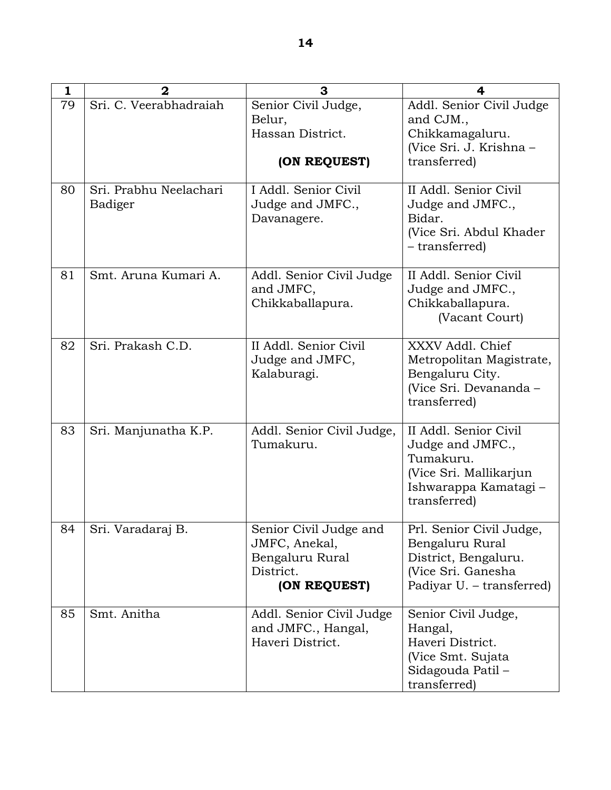| 1  | $\overline{2}$                    | 3                                                                                       | $\overline{\mathbf{4}}$                                                                                                  |
|----|-----------------------------------|-----------------------------------------------------------------------------------------|--------------------------------------------------------------------------------------------------------------------------|
| 79 | Sri. C. Veerabhadraiah            | Senior Civil Judge,<br>Belur,<br>Hassan District.<br>(ON REQUEST)                       | Addl. Senior Civil Judge<br>and CJM.,<br>Chikkamagaluru.<br>(Vice Sri. J. Krishna -<br>transferred)                      |
| 80 | Sri. Prabhu Neelachari<br>Badiger | I Addl. Senior Civil<br>Judge and JMFC.,<br>Davanagere.                                 | II Addl. Senior Civil<br>Judge and JMFC.,<br>Bidar.<br>(Vice Sri. Abdul Khader<br>- transferred)                         |
| 81 | Smt. Aruna Kumari A.              | Addl. Senior Civil Judge<br>and JMFC,<br>Chikkaballapura.                               | II Addl. Senior Civil<br>Judge and JMFC.,<br>Chikkaballapura.<br>(Vacant Court)                                          |
| 82 | Sri. Prakash C.D.                 | II Addl. Senior Civil<br>Judge and JMFC,<br>Kalaburagi.                                 | XXXV Addl. Chief<br>Metropolitan Magistrate,<br>Bengaluru City.<br>(Vice Sri. Devananda -<br>transferred)                |
| 83 | Sri. Manjunatha K.P.              | Addl. Senior Civil Judge,<br>Tumakuru.                                                  | II Addl. Senior Civil<br>Judge and JMFC.,<br>Tumakuru.<br>(Vice Sri. Mallikarjun<br>Ishwarappa Kamatagi-<br>transferred) |
| 84 | Sri. Varadaraj B.                 | Senior Civil Judge and<br>JMFC, Anekal,<br>Bengaluru Rural<br>District.<br>(ON REQUEST) | Prl. Senior Civil Judge,<br>Bengaluru Rural<br>District, Bengaluru.<br>(Vice Sri. Ganesha<br>Padiyar U. – transferred)   |
| 85 | Smt. Anitha                       | Addl. Senior Civil Judge<br>and JMFC., Hangal,<br>Haveri District.                      | Senior Civil Judge,<br>Hangal,<br>Haveri District.<br>(Vice Smt. Sujata)<br>Sidagouda Patil –<br>transferred)            |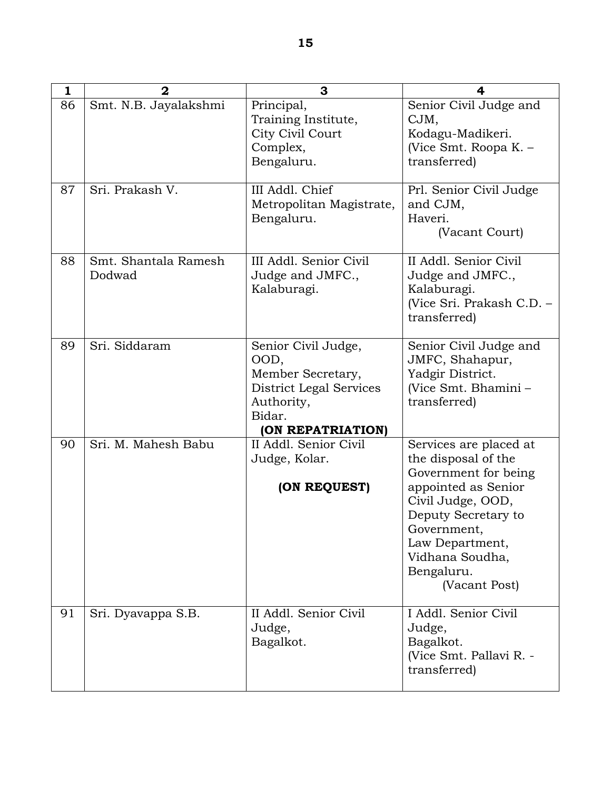| 1  | $\overline{2}$                 | 3                                                                                                                        | 4                                                                                                                                                                                                                            |
|----|--------------------------------|--------------------------------------------------------------------------------------------------------------------------|------------------------------------------------------------------------------------------------------------------------------------------------------------------------------------------------------------------------------|
| 86 | Smt. N.B. Jayalakshmi          | Principal,<br>Training Institute,<br>City Civil Court<br>Complex,<br>Bengaluru.                                          | Senior Civil Judge and<br>CJM,<br>Kodagu-Madikeri.<br>(Vice Smt. Roopa K. –<br>transferred)                                                                                                                                  |
| 87 | Sri. Prakash V.                | III Addl. Chief<br>Metropolitan Magistrate,<br>Bengaluru.                                                                | Prl. Senior Civil Judge<br>and CJM,<br>Haveri.<br>(Vacant Court)                                                                                                                                                             |
| 88 | Smt. Shantala Ramesh<br>Dodwad | III Addl. Senior Civil<br>Judge and JMFC.,<br>Kalaburagi.                                                                | II Addl. Senior Civil<br>Judge and JMFC.,<br>Kalaburagi.<br>(Vice Sri. Prakash C.D. -<br>transferred)                                                                                                                        |
| 89 | Sri. Siddaram                  | Senior Civil Judge,<br>OOD,<br>Member Secretary,<br>District Legal Services<br>Authority,<br>Bidar.<br>(ON REPATRIATION) | Senior Civil Judge and<br>JMFC, Shahapur,<br>Yadgir District.<br>(Vice Smt. Bhamini -<br>transferred)                                                                                                                        |
| 90 | Sri. M. Mahesh Babu            | II Addl. Senior Civil<br>Judge, Kolar.<br>(ON REQUEST)                                                                   | Services are placed at<br>the disposal of the<br>Government for being<br>appointed as Senior<br>Civil Judge, OOD,<br>Deputy Secretary to<br>Government,<br>Law Department,<br>Vidhana Soudha,<br>Bengaluru.<br>(Vacant Post) |
| 91 | Sri. Dyavappa S.B.             | II Addl. Senior Civil<br>Judge,<br>Bagalkot.                                                                             | I Addl. Senior Civil<br>Judge,<br>Bagalkot.<br>(Vice Smt. Pallavi R. -<br>transferred)                                                                                                                                       |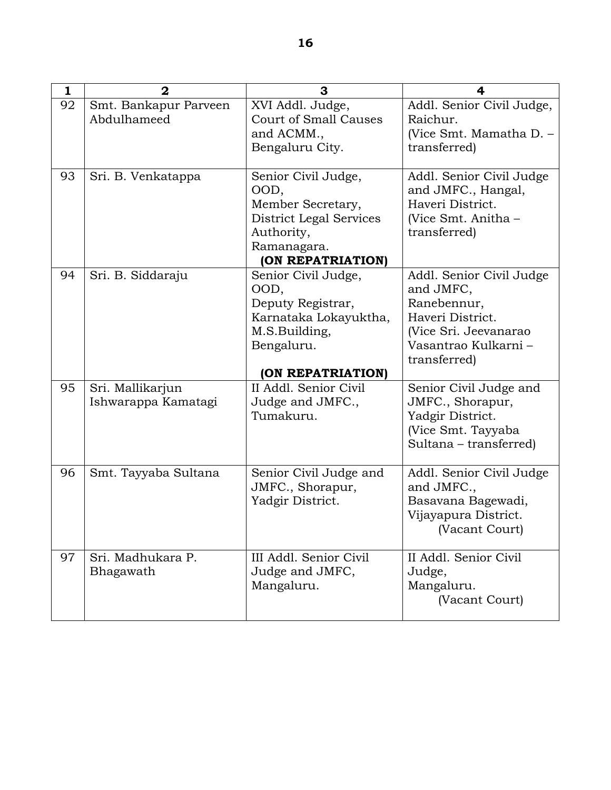| 1  | $\overline{2}$                          | 3                                                                                                                             | 4                                                                                                                                         |
|----|-----------------------------------------|-------------------------------------------------------------------------------------------------------------------------------|-------------------------------------------------------------------------------------------------------------------------------------------|
| 92 | Smt. Bankapur Parveen<br>Abdulhameed    | XVI Addl. Judge,<br><b>Court of Small Causes</b><br>and ACMM.,<br>Bengaluru City.                                             | Addl. Senior Civil Judge,<br>Raichur.<br>(Vice Smt. Mamatha D. -<br>transferred)                                                          |
| 93 | Sri. B. Venkatappa                      | Senior Civil Judge,<br>OOD,<br>Member Secretary,<br>District Legal Services<br>Authority,<br>Ramanagara.<br>(ON REPATRIATION) | Addl. Senior Civil Judge<br>and JMFC., Hangal,<br>Haveri District.<br>(Vice Smt. Anitha –<br>transferred)                                 |
| 94 | Sri. B. Siddaraju                       | Senior Civil Judge,<br>OOD,<br>Deputy Registrar,<br>Karnataka Lokayuktha,<br>M.S.Building,<br>Bengaluru.<br>(ON REPATRIATION) | Addl. Senior Civil Judge<br>and JMFC,<br>Ranebennur,<br>Haveri District.<br>(Vice Sri. Jeevanarao<br>Vasantrao Kulkarni -<br>transferred) |
| 95 | Sri. Mallikarjun<br>Ishwarappa Kamatagi | II Addl. Senior Civil<br>Judge and JMFC.,<br>Tumakuru.                                                                        | Senior Civil Judge and<br>JMFC., Shorapur,<br>Yadgir District.<br>(Vice Smt. Tayyaba<br>Sultana – transferred)                            |
| 96 | Smt. Tayyaba Sultana                    | Senior Civil Judge and<br>JMFC., Shorapur,<br>Yadgir District.                                                                | Addl. Senior Civil Judge<br>and JMFC.,<br>Basavana Bagewadi,<br>Vijayapura District.<br>(Vacant Court)                                    |
| 97 | Sri. Madhukara P.<br>Bhagawath          | III Addl. Senior Civil<br>Judge and JMFC,<br>Mangaluru.                                                                       | II Addl. Senior Civil<br>Judge,<br>Mangaluru.<br>(Vacant Court)                                                                           |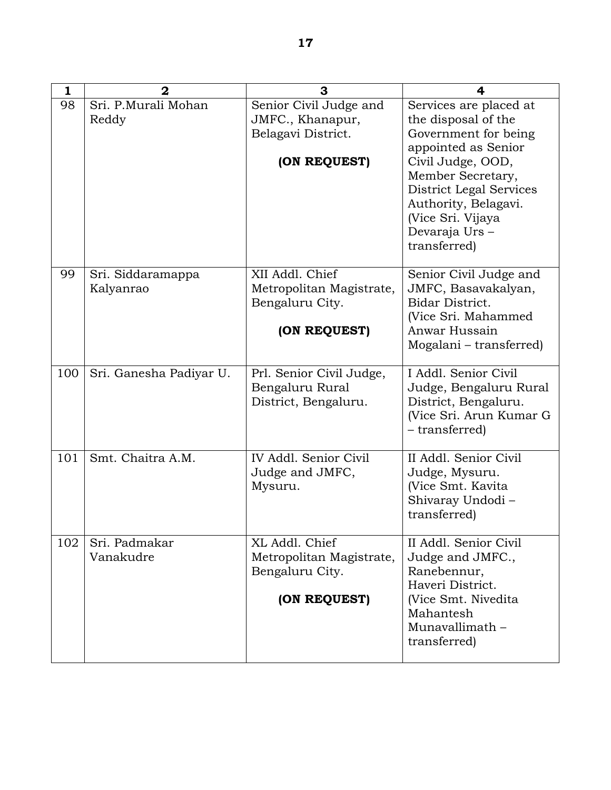| 1   | $\mathbf{2}$                   | 3                                                                                | 4                                                                                                                                                                                                                                               |
|-----|--------------------------------|----------------------------------------------------------------------------------|-------------------------------------------------------------------------------------------------------------------------------------------------------------------------------------------------------------------------------------------------|
| 98  | Sri. P.Murali Mohan<br>Reddy   | Senior Civil Judge and<br>JMFC., Khanapur,<br>Belagavi District.<br>(ON REQUEST) | Services are placed at<br>the disposal of the<br>Government for being<br>appointed as Senior<br>Civil Judge, OOD,<br>Member Secretary,<br>District Legal Services<br>Authority, Belagavi.<br>(Vice Sri. Vijaya<br>Devaraja Urs-<br>transferred) |
| 99  | Sri. Siddaramappa<br>Kalyanrao | XII Addl. Chief<br>Metropolitan Magistrate,<br>Bengaluru City.<br>(ON REQUEST)   | Senior Civil Judge and<br>JMFC, Basavakalyan,<br>Bidar District.<br>(Vice Sri. Mahammed<br>Anwar Hussain<br>Mogalani – transferred)                                                                                                             |
| 100 | Sri. Ganesha Padiyar U.        | Prl. Senior Civil Judge,<br>Bengaluru Rural<br>District, Bengaluru.              | I Addl. Senior Civil<br>Judge, Bengaluru Rural<br>District, Bengaluru.<br>(Vice Sri. Arun Kumar G<br>- transferred)                                                                                                                             |
| 101 | Smt. Chaitra A.M.              | IV Addl. Senior Civil<br>Judge and JMFC,<br>Mysuru.                              | II Addl. Senior Civil<br>Judge, Mysuru.<br>(Vice Smt. Kavita)<br>Shivaray Undodi-<br>transferred)                                                                                                                                               |
| 102 | Sri. Padmakar<br>Vanakudre     | XL Addl. Chief<br>Metropolitan Magistrate,<br>Bengaluru City.<br>(ON REQUEST)    | II Addl. Senior Civil<br>Judge and JMFC.,<br>Ranebennur,<br>Haveri District.<br>(Vice Smt. Nivedita<br>Mahantesh<br>Munavallimath -<br>transferred)                                                                                             |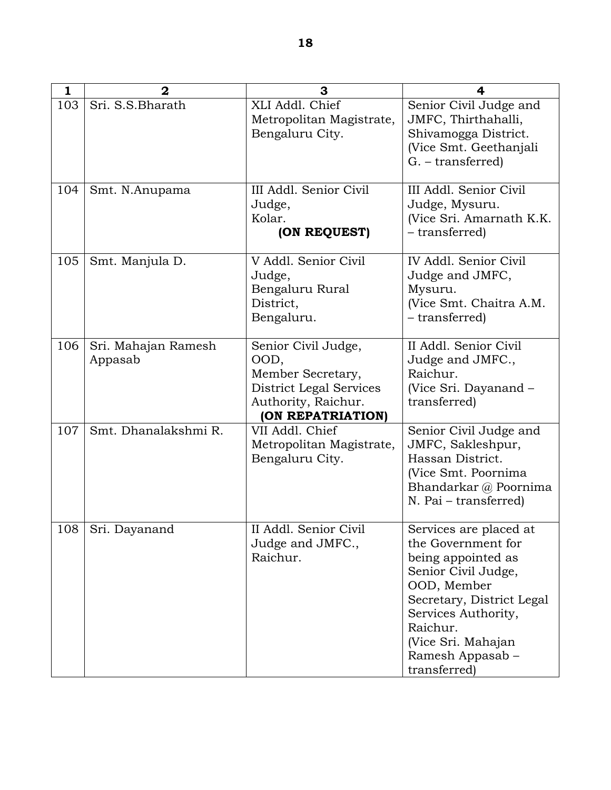| 1   | $\mathbf{2}$                   | 3                                                                                                                       | 4                                                                                                                                                                                                                                  |
|-----|--------------------------------|-------------------------------------------------------------------------------------------------------------------------|------------------------------------------------------------------------------------------------------------------------------------------------------------------------------------------------------------------------------------|
| 103 | Sri. S.S.Bharath               | XLI Addl. Chief<br>Metropolitan Magistrate,<br>Bengaluru City.                                                          | Senior Civil Judge and<br>JMFC, Thirthahalli,<br>Shivamogga District.<br>(Vice Smt. Geethanjali<br>G. – transferred)                                                                                                               |
| 104 | Smt. N.Anupama                 | III Addl. Senior Civil<br>Judge,<br>Kolar.<br>(ON REQUEST)                                                              | III Addl. Senior Civil<br>Judge, Mysuru.<br>(Vice Sri. Amarnath K.K.<br>- transferred)                                                                                                                                             |
| 105 | Smt. Manjula D.                | V Addl. Senior Civil<br>Judge,<br>Bengaluru Rural<br>District,<br>Bengaluru.                                            | IV Addl. Senior Civil<br>Judge and JMFC,<br>Mysuru.<br>(Vice Smt. Chaitra A.M.<br>- transferred)                                                                                                                                   |
| 106 | Sri. Mahajan Ramesh<br>Appasab | Senior Civil Judge,<br>OOD,<br>Member Secretary,<br>District Legal Services<br>Authority, Raichur.<br>(ON REPATRIATION) | II Addl. Senior Civil<br>Judge and JMFC.,<br>Raichur.<br>(Vice Sri. Dayanand –<br>transferred)                                                                                                                                     |
| 107 | Smt. Dhanalakshmi R.           | VII Addl. Chief<br>Metropolitan Magistrate,<br>Bengaluru City.                                                          | Senior Civil Judge and<br>JMFC, Sakleshpur,<br>Hassan District.<br>(Vice Smt. Poornima<br>Bhandarkar @ Poornima<br>N. Pai – transferred)                                                                                           |
| 108 | Sri. Dayanand                  | II Addl. Senior Civil<br>Judge and JMFC.,<br>Raichur.                                                                   | Services are placed at<br>the Government for<br>being appointed as<br>Senior Civil Judge,<br>OOD, Member<br>Secretary, District Legal<br>Services Authority,<br>Raichur.<br>(Vice Sri. Mahajan<br>Ramesh Appasab -<br>transferred) |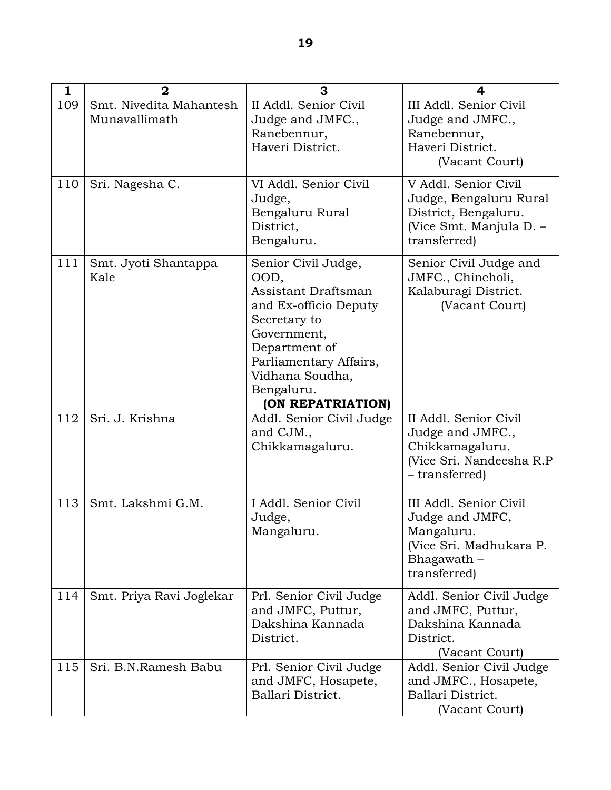| $\mathbf{1}$ | $\overline{2}$                           | 3                                                                                                                                                                                                           | 4                                                                                                                 |
|--------------|------------------------------------------|-------------------------------------------------------------------------------------------------------------------------------------------------------------------------------------------------------------|-------------------------------------------------------------------------------------------------------------------|
| 109          | Smt. Nivedita Mahantesh<br>Munavallimath | II Addl. Senior Civil<br>Judge and JMFC.,<br>Ranebennur,<br>Haveri District.                                                                                                                                | III Addl. Senior Civil<br>Judge and JMFC.,<br>Ranebennur,<br>Haveri District.<br>(Vacant Court)                   |
| 110          | Sri. Nagesha C.                          | VI Addl. Senior Civil<br>Judge,<br>Bengaluru Rural<br>District,<br>Bengaluru.                                                                                                                               | V Addl. Senior Civil<br>Judge, Bengaluru Rural<br>District, Bengaluru.<br>(Vice Smt. Manjula D. -<br>transferred) |
| 111          | Smt. Jyoti Shantappa<br>Kale             | Senior Civil Judge,<br>OOD,<br>Assistant Draftsman<br>and Ex-officio Deputy<br>Secretary to<br>Government,<br>Department of<br>Parliamentary Affairs,<br>Vidhana Soudha,<br>Bengaluru.<br>(ON REPATRIATION) | Senior Civil Judge and<br>JMFC., Chincholi,<br>Kalaburagi District.<br>(Vacant Court)                             |
| 112          | Sri. J. Krishna                          | Addl. Senior Civil Judge<br>and CJM.,<br>Chikkamagaluru.                                                                                                                                                    | II Addl. Senior Civil<br>Judge and JMFC.,<br>Chikkamagaluru.<br>(Vice Sri. Nandeesha R.P<br>- transferred)        |
| 113          | Smt. Lakshmi G.M.                        | I Addl. Senior Civil<br>Judge,<br>Mangaluru.                                                                                                                                                                | III Addl. Senior Civil<br>Judge and JMFC,<br>Mangaluru.<br>(Vice Sri. Madhukara P.<br>Bhagawath -<br>transferred) |
| 114          | Smt. Priya Ravi Joglekar                 | Prl. Senior Civil Judge<br>and JMFC, Puttur,<br>Dakshina Kannada<br>District.                                                                                                                               | Addl. Senior Civil Judge<br>and JMFC, Puttur,<br>Dakshina Kannada<br>District.<br>(Vacant Court)                  |
| 115          | Sri. B.N.Ramesh Babu                     | Prl. Senior Civil Judge<br>and JMFC, Hosapete,<br>Ballari District.                                                                                                                                         | Addl. Senior Civil Judge<br>and JMFC., Hosapete,<br>Ballari District.<br>(Vacant Court)                           |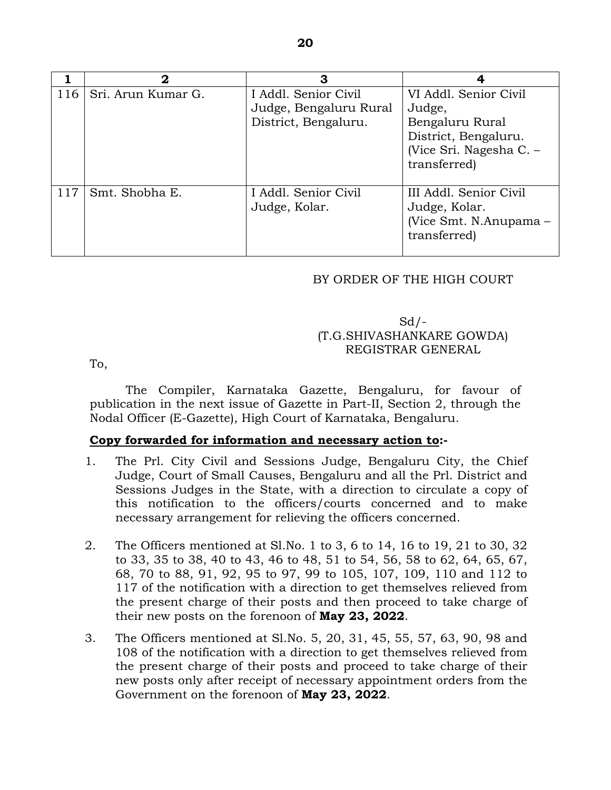|     | 2                  | З                                                                      |                                                                                                                         |
|-----|--------------------|------------------------------------------------------------------------|-------------------------------------------------------------------------------------------------------------------------|
| 116 | Sri. Arun Kumar G. | I Addl. Senior Civil<br>Judge, Bengaluru Rural<br>District, Bengaluru. | VI Addl. Senior Civil<br>Judge,<br>Bengaluru Rural<br>District, Bengaluru.<br>(Vice Sri. Nagesha C. $-$<br>transferred) |
| 117 | Smt. Shobha E.     | I Addl. Senior Civil<br>Judge, Kolar.                                  | III Addl. Senior Civil<br>Judge, Kolar.<br>(Vice Smt. N.Anupama –<br>transferred)                                       |

### BY ORDER OF THE HIGH COURT

# $Sd$  / -(T.G.SHIVASHANKARE GOWDA) REGISTRAR GENERAL

To,

 The Compiler, Karnataka Gazette, Bengaluru, for favour of publication in the next issue of Gazette in Part-II, Section 2, through the Nodal Officer (E-Gazette), High Court of Karnataka, Bengaluru.

### **Copy forwarded for information and necessary action to:-**

- 1. The Prl. City Civil and Sessions Judge, Bengaluru City, the Chief Judge, Court of Small Causes, Bengaluru and all the Prl. District and Sessions Judges in the State, with a direction to circulate a copy of this notification to the officers/courts concerned and to make necessary arrangement for relieving the officers concerned.
- 2. The Officers mentioned at Sl.No. 1 to 3, 6 to 14, 16 to 19, 21 to 30, 32 to 33, 35 to 38, 40 to 43, 46 to 48, 51 to 54, 56, 58 to 62, 64, 65, 67, 68, 70 to 88, 91, 92, 95 to 97, 99 to 105, 107, 109, 110 and 112 to 117 of the notification with a direction to get themselves relieved from the present charge of their posts and then proceed to take charge of their new posts on the forenoon of **May 23, 2022**.
- 3. The Officers mentioned at Sl.No. 5, 20, 31, 45, 55, 57, 63, 90, 98 and 108 of the notification with a direction to get themselves relieved from the present charge of their posts and proceed to take charge of their new posts only after receipt of necessary appointment orders from the Government on the forenoon of **May 23, 2022**.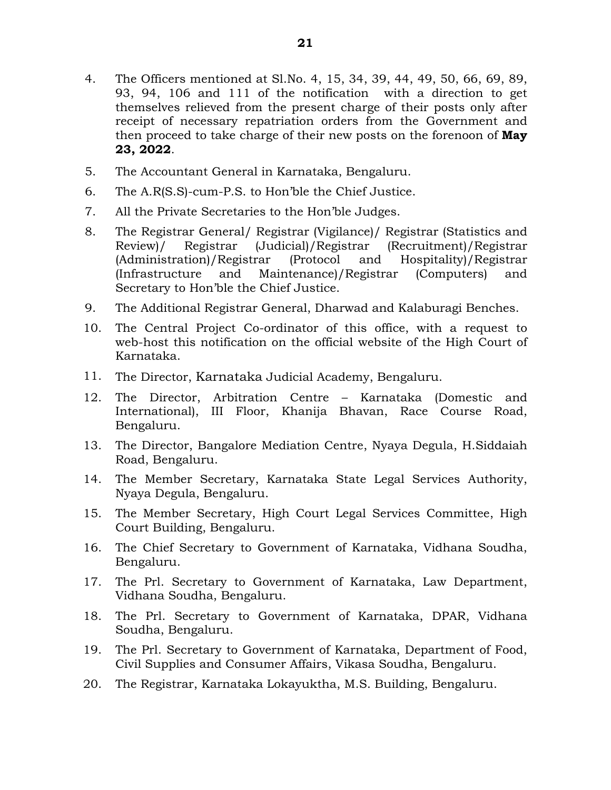- 4. The Officers mentioned at Sl.No. 4, 15, 34, 39, 44, 49, 50, 66, 69, 89, 93, 94, 106 and 111 of the notification with a direction to get themselves relieved from the present charge of their posts only after receipt of necessary repatriation orders from the Government and then proceed to take charge of their new posts on the forenoon of **May 23, 2022**.
- 5. The Accountant General in Karnataka, Bengaluru.
- 6. The A.R(S.S)-cum-P.S. to Hon'ble the Chief Justice.
- 7. All the Private Secretaries to the Hon'ble Judges.
- 8. The Registrar General/ Registrar (Vigilance)/ Registrar (Statistics and Review)/ Registrar (Judicial)/Registrar (Recruitment)/Registrar (Administration)/Registrar (Protocol and Hospitality)/Registrar (Infrastructure and Maintenance)/Registrar (Computers) and Secretary to Hon'ble the Chief Justice.
- 9. The Additional Registrar General, Dharwad and Kalaburagi Benches.
- 10. The Central Project Co-ordinator of this office, with a request to web-host this notification on the official website of the High Court of Karnataka.
- 11. The Director, Karnataka Judicial Academy, Bengaluru.
- 12. The Director, Arbitration Centre Karnataka (Domestic and International), III Floor, Khanija Bhavan, Race Course Road, Bengaluru.
- 13. The Director, Bangalore Mediation Centre, Nyaya Degula, H.Siddaiah Road, Bengaluru.
- 14. The Member Secretary, Karnataka State Legal Services Authority, Nyaya Degula, Bengaluru.
- 15. The Member Secretary, High Court Legal Services Committee, High Court Building, Bengaluru.
- 16. The Chief Secretary to Government of Karnataka, Vidhana Soudha, Bengaluru.
- 17. The Prl. Secretary to Government of Karnataka, Law Department, Vidhana Soudha, Bengaluru.
- 18. The Prl. Secretary to Government of Karnataka, DPAR, Vidhana Soudha, Bengaluru.
- 19. The Prl. Secretary to Government of Karnataka, Department of Food, Civil Supplies and Consumer Affairs, Vikasa Soudha, Bengaluru.
- 20. The Registrar, Karnataka Lokayuktha, M.S. Building, Bengaluru.